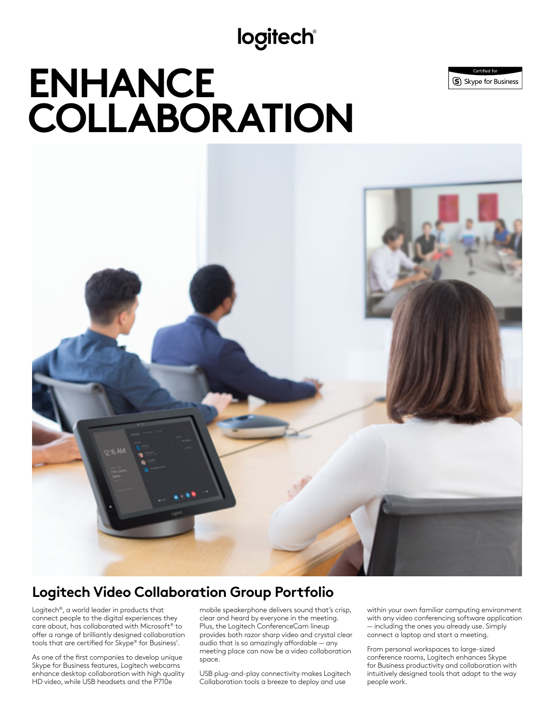## **logitech®**

# **ENHANCE COLLABORATION**





## **Logitech Video Collaboration Group Portfolio**

Logitech®, a world leader in products that connect people to the digital experiences they care about, has collaborated with Microsoft® to offer a range of brilliantly designed collaboration tools that are certified for Skype® for Business<sup>1</sup>.

As one of the first companies to develop unique Skype for Business features, Logitech webcams enhance desktop collaboration with high quality HD video, while USB headsets and the P710e

mobile speakerphone delivers sound that's crisp, clear and heard by everyone in the meeting. Plus, the Logitech ConferenceCam lineup provides both razor sharp video and crystal clear audio that is so amazingly affordable — any meeting place can now be a video collaboration space.

USB plug-and-play connectivity makes Logitech Collaboration tools a breeze to deploy and use

within your own familiar computing environment with any video conferencing software application — including the ones you already use. Simply connect a laptop and start a meeting.

From personal workspaces to large-sized conference rooms, Logitech enhances Skype for Business productivity and collaboration with intuitively designed tools that adapt to the way people work.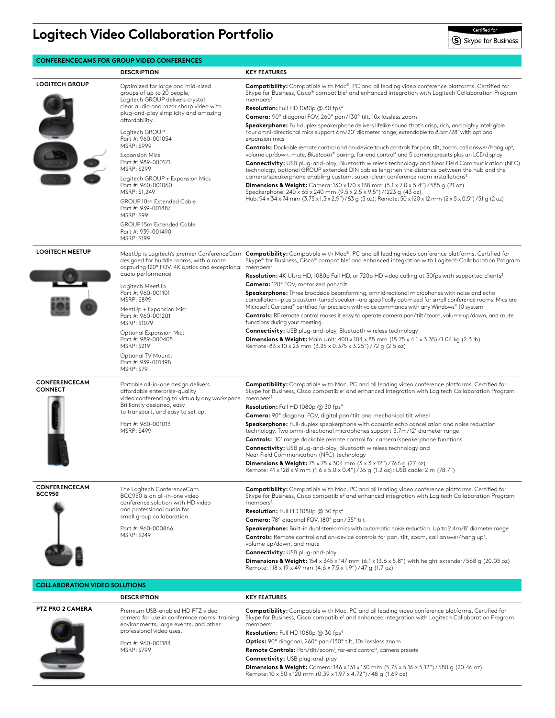## **Logitech Video Collaboration Portfolio**

#### **CONFERENCECAMS FOR GROUP VIDEO CONFERENCES**

**DESCRIPTION KEY FEATURES LOGITECH GROUP** Optimized for large and mid-sized groups of up to 20 people, Logitech GROUP delivers crystal clear audio and razor sharp video with plug-and-play simplicity and amazing affordability. Logitech GROUP Part #: 960-001054 MSRP: \$999 Expansion Mics Part #: 989-000171 MSRP: \$299 Logitech GROUP + Expansion Mics Part #: 960-001060 MSRP: \$1,249 GROUP 10m Extended Cable Part #: 939-001487 MSRP: \$99 GROUP 15m Extended Cable Part #: 939-001490 MSRP: \$199 **Compatibility:** Compatible with Mac®, PC and all leading video conference platforms. Certified for Skype for Business, Cisco® compatible<sup>2</sup> and enhanced integration with Logitech Collaboration Program members **Resolution:** Full HD 1080p @ 30 fps4 **Camera:** 90º diagonal FOV, 260º pan / 130º tilt, 10x lossless zoom **Speakerphone:** Full-duplex speakerphone delivers lifelike sound that's crisp, rich, and highly intelligible. Four omni-directional mics support 6m/20' diameter range, extendable to 8.5m/28' with optional expansion mics Controls: Dockable remote control and on-device touch controls for pan, tilt, zoom, call answer/hang up<sup>6</sup>, volume up/down, mute, *Bluetooth*® pairing, far-end control4 and 5 camera presets plus an LCD display **Connectivity:** USB plug-and-play, Bluetooth wireless technology and Near Field Communication (NFC) technology, optional GROUP extended DIN cables lengthen the distance between the hub and the camera/speakerphone enabling custom, super-clean conference room installations<sup>5</sup> **Dimensions & Weight:** Camera: 130 x 170 x 138 mm (5.1 x 7.0 x 5.4") / 585 g (21 oz) Speakerphone: 240 x 65 x 240 mm (9.5 x 2.5 x 9.5") / 1223 g (43 oz) Hub: 94 x 34 x 74 mm (3.75 x 1.3 x 2.9") / 83 g (3 oz); Remote: 50 x 120 x 12 mm (2 x 5 x 0.5") / 51 g (2 oz) **LOGITECH MEETUP** MeetUp is Logitech's premier ConferenceCam designed for huddle rooms, with a room capturing 120° FOV, 4K optics and exceptional audio performance. Logitech MeetUp Part #: 960-001101 MSRP: \$899 MeetUp + Expansion Mic: Part #: 960-001201 MSRP: \$1079 Optional Expansion Mic: Part #: 989-000405 MSRP: \$219 Optional TV Mount: Part #: 939-001498 MSRP: \$79 **Compatibility:** Compatible with Mac®, PC and all leading video conference platforms. Certified for Skype® for Business, Cisco® compatible' and enhanced integration with Logitech Collaboration Program members<sup>2</sup> Resolution: 4K Ultra HD, 1080p Full HD, or 720p HD video calling at 30fps with supported clients<sup>3</sup> **Camera:** 120º FOV, motorized pan/tilt **Speakerphone:** Three broadside beamforming, omnidirectional microphones with noise and echo cancellation—plus a custom-tuned speaker—are specifically optimized for small conference rooms. Mics are Microsoft Cortana® certified for precision with voice commands with any Windows® 10 system **Controls:** RF remote control makes it easy to operate camera pan/tilt/zoom, volume up/down, and mute functions during your meeting. **Connectivity:** USB plug-and-play, Bluetooth wireless technology **Dimensions & Weight:** Main Unit: 400 x 104 x 85 mm (15.75 x 4.1 x 3.35) / 1.04 kg (2.3 lb) Remote: 83 x 10 x 23 mm (3.25 x 0.375 x 3.25") / 72 g (2.5 oz) **CONFERENCECAM**  Portable all-in-one design delivers affordable enterprise-quality video conferencing to virtually any workspace. Brilliantly designed, easy to transport, and easy to set up. Part #: 960-001013 MSRP: \$499 **Compatibility:** Compatible with Mac, PC and all leading video conference platforms. Certified for Skype for Business, Cisco compatible<sup>2</sup> and enhanced integration with Logitech Collaboration Program members **Resolution:** Full HD 1080p @ 30 fps4 **Camera:** 90º diagonal FOV, digital pan/tilt and mechanical tilt wheel **Speakerphone:** Full-duplex speakerphone with acoustic echo cancellation and noise reduction technology. Two omni-directional microphones support 3.7m/12' diameter range **Controls:** 10' range dockable remote control for camera/speakerphone functions **Connectivity:** USB plug-and-play, Bluetooth wireless technology and Near Field Communication (NFC) technology **Dimensions & Weight:** 75 x 75 x 304 mm (3 x 3 x 12") / 766 g (27 oz) Remote: 41 x 128 x 9 mm (1.6 x 5.0 x 0.4") / 35 g (1.2 oz); USB cable: 2 m (78.7") **CONFERENCECAM BCC950** The Logitech ConferenceCam BCC950 is an all-in-one video conference solution with HD video and professional audio for small group collaboration. Part #: 960-000866 MSRP: \$249 **Compatibility:** Compatible with Mac, PC and all leading video conference platforms. Certified for Skype for Business, Cisco compatible<sup>2</sup> and enhanced integration with Logitech Collaboration Program members<sup>3</sup> **Resolution:** Full HD 1080p @ 30 fps4 **Camera:** 78º diagonal FOV, 180º pan / 55º tilt **Speakerphone:** Built-in dual stereo mics with automatic noise reduction. Up to 2.4m/8' diameter range Controls: Remote control and on-device controls for pan, tilt, zoom, call answer/hang up<sup>6</sup>, volume up/down, and mute **Connectivity:** USB plug-and-play **Dimensions & Weight:**  $154 \times 345 \times 147$  mm (6.1 x 13.6 x 5.8") with height extender / 568 g (20.03 oz) Remote: 118 x 19 x 49 mm (4.6 x 7.5 x 1.9") / 47 g (1.7 oz)

### **COLLABORATION VIDEO SOLUTIONS**

|                         | <b>DESCRIPTION</b>                                                                                                                                    | <b>KEY FEATURES</b>                                                                                                                                                                                                                               |
|-------------------------|-------------------------------------------------------------------------------------------------------------------------------------------------------|---------------------------------------------------------------------------------------------------------------------------------------------------------------------------------------------------------------------------------------------------|
| <b>PTZ PRO 2 CAMERA</b> | Premium USB-enabled HD PT7 video<br>camera for use in conference rooms, training<br>environments, large events, and other<br>professional video uses. | <b>Compatibility:</b> Compatible with Mac, PC and all leading video conference platforms. Certified for<br>Skype for Business, Cisco compatible <sup>1</sup> and enhanced integration with Logitech Collaboration Program<br>members <sup>2</sup> |
|                         |                                                                                                                                                       | Resolution: Full HD 1080p @ 30 fps <sup>4</sup>                                                                                                                                                                                                   |
|                         | Part #: 960-001184<br><b>MSRP: \$799</b>                                                                                                              | Optics: 90° diagonal, 260° pan/130° tilt, 10x lossless zoom                                                                                                                                                                                       |
|                         |                                                                                                                                                       | <b>Remote Controls:</b> Pan/tilt/zoom <sup>7</sup> , far-end control <sup>4</sup> , camera presets                                                                                                                                                |
|                         |                                                                                                                                                       | <b>Connectivity: USB plug-and-play</b>                                                                                                                                                                                                            |
|                         |                                                                                                                                                       | <b>Dimensions &amp; Weight:</b> Camera: 146 x 131 x 130 mm (5.75 x 5.16 x 5.12") / 580 q (20.46 oz)<br>Remote: 10 x 50 x 120 mm (0.39 x 1.97 x 4.72") / 48 q (1.69 oz)                                                                            |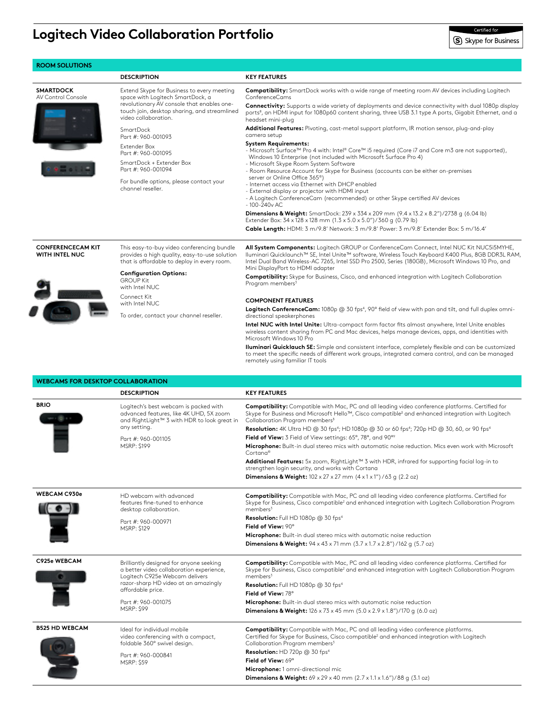## **Logitech Video Collaboration Portfolio**

|                                          | <b>DESCRIPTION</b>                                                                                                                                     | <b>KEY FEATURES</b>                                                                                                                                                                                                                                                                                                            |
|------------------------------------------|--------------------------------------------------------------------------------------------------------------------------------------------------------|--------------------------------------------------------------------------------------------------------------------------------------------------------------------------------------------------------------------------------------------------------------------------------------------------------------------------------|
| <b>SMARTDOCK</b>                         | Extend Skype for Business to every meeting                                                                                                             | Compatibility: SmartDock works with a wide range of meeting room AV devices including Logitech                                                                                                                                                                                                                                 |
| AV Control Console                       | space with Logitech SmartDock, a<br>revolutionary AV console that enables one-<br>touch join, desktop sharing, and streamlined<br>video collaboration. | ConferenceCams<br><b>Connectivity:</b> Supports a wide variety of deployments and device connectivity with dual 1080p display<br>ports <sup>8</sup> , an HDMI input for 1080p60 content sharing, three USB 3.1 type A ports, Gigabit Ethernet, and a                                                                           |
|                                          | <b>SmartDock</b>                                                                                                                                       | headset mini-plug<br><b>Additional Features:</b> Pivoting, cast-metal support platform, IR motion sensor, plug-and-play<br>camera setup                                                                                                                                                                                        |
|                                          | Part #: 960-001093<br>Extender Box<br>Part #: 960-001095                                                                                               | <b>System Requirements:</b><br>- Microsoft Surface™ Pro 4 with: Intel® Core™ i5 required (Core i7 and Core m3 are not supported),                                                                                                                                                                                              |
|                                          | SmartDock + Extender Box<br>Part #: 960-001094                                                                                                         | Windows 10 Enterprise (not included with Microsoft Surface Pro 4)<br>- Microsoft Skype Room System Software<br>- Room Resource Account for Skype for Business (accounts can be either on-premises                                                                                                                              |
|                                          | For bundle options, please contact your<br>channel reseller.                                                                                           | server or Online Office 365 <sup>®</sup> )<br>- Internet access via Ethernet with DHCP enabled<br>- External display or projector with HDMI input<br>- A Logitech ConferenceCam (recommended) or other Skype certified AV devices<br>$-100 - 240v$ AC                                                                          |
|                                          |                                                                                                                                                        | <b>Dimensions &amp; Weight:</b> SmartDock: 239 x 334 x 209 mm $(9.4 \times 13.2 \times 8.2'')/2738$ g $(6.04 \text{ lb})$<br>Extender Box: 34 x 128 x 128 mm (1.3 x 5.0 x 5.0")/360 g (0.79 lb)<br>Cable Length: HDMI: 3 m/9.8' Network: 3 m/9.8' Power: 3 m/9.8' Extender Box: 5 m/16.4'                                      |
| <b>CONFERENCECAM KIT</b>                 | This easy-to-buy video conferencing bundle                                                                                                             | All System Components: Logitech GROUP or ConferenceCam Connect, Intel NUC Kit NUC5i5MYHE,                                                                                                                                                                                                                                      |
| WITH INTEL NUC                           | provides a high quality, easy-to-use solution<br>that is affordable to deploy in every room.                                                           | Iluminari Quicklaunch™ SE, Intel Unite™ software, Wireless Touch Keyboard K400 Plus, 8GB DDR3L RAM,<br>Intel Dual Band Wireless-AC 7265, Intel SSD Pro 2500, Series (180GB), Microsoft Windows 10 Pro, and<br>Mini DisplayPort to HDMI adapter                                                                                 |
|                                          | <b>Configuration Options:</b><br><b>GROUP Kit</b><br>with Intel NUC                                                                                    | <b>Compatibility:</b> Skype for Business, Cisco, and enhanced integration with Logitech Collaboration<br>Program members <sup>3</sup>                                                                                                                                                                                          |
|                                          | Connect Kit                                                                                                                                            | <b>COMPONENT FEATURES</b>                                                                                                                                                                                                                                                                                                      |
|                                          | with Intel NUC                                                                                                                                         | Logitech ConferenceCam: 1080p @ 30 fps <sup>4</sup> , 90° field of view with pan and tilt, and full duplex omni-                                                                                                                                                                                                               |
|                                          | To order, contact your channel reseller.                                                                                                               | directional speakerphones<br>Intel NUC with Intel Unite: Ultra-compact form factor fits almost anywhere, Intel Unite enables<br>wireless content sharing from PC and Mac devices, helps manage devices, apps, and identities with                                                                                              |
|                                          |                                                                                                                                                        | Microsoft Windows 10 Pro<br><b>Iluminari Quicklauch SE:</b> Simple and consistent interface, completely flexible and can be customized<br>to meet the specific needs of different work groups, integrated camera control, and can be managed<br>remotely using familiar IT tools                                               |
| <b>WEBCAMS FOR DESKTOP COLLABORATION</b> |                                                                                                                                                        |                                                                                                                                                                                                                                                                                                                                |
|                                          |                                                                                                                                                        |                                                                                                                                                                                                                                                                                                                                |
|                                          | <b>DESCRIPTION</b>                                                                                                                                     | <b>KEY FEATURES</b>                                                                                                                                                                                                                                                                                                            |
| <b>BRIO</b>                              | Logitech's best webcam is packed with<br>advanced features, like 4K UHD, 5X zoom<br>and RightLight™ 3 with HDR to look great in                        | Compatibility: Compatible with Mac, PC and all leading video conference platforms. Certified for<br>Skype for Business and Microsoft Hello™, Cisco compatible <sup>2</sup> and enhanced integration with Logitech<br>Collaboration Program members <sup>3</sup>                                                                |
|                                          | any setting.                                                                                                                                           | Resolution: 4K Ultra HD @ 30 fps <sup>4</sup> ; HD 1080p @ 30 or 60 fps <sup>4</sup> ; 720p HD @ 30, 60, or 90 fps <sup>4</sup>                                                                                                                                                                                                |
|                                          | Part #: 960-001105<br>MSRP: \$199                                                                                                                      | Field of View: 3 Field of View settings: 65°, 78°, and 90°°<br>Microphone: Built-in dual stereo mics with automatic noise reduction. Mics even work with Microsoft                                                                                                                                                             |
|                                          |                                                                                                                                                        | Cortana®<br>Additional Features: 5x zoom, RightLight™ 3 with HDR, infrared for supporting facial log-in to<br>strengthen login security, and works with Cortana                                                                                                                                                                |
|                                          |                                                                                                                                                        | <b>Dimensions &amp; Weight:</b> $102 \times 27 \times 27$ mm $(4 \times 1 \times 1'') / 63$ g $(2.2 \text{ oz})$                                                                                                                                                                                                               |
|                                          | HD webcam with advanced<br>features fine-tuned to enhance                                                                                              | <b>Compatibility:</b> Compatible with Mac, PC and all leading video conference platforms. Certified for                                                                                                                                                                                                                        |
|                                          | desktop collaboration.<br>Part #: 960-000971                                                                                                           | members <sup>3</sup><br>Resolution: Full HD 1080p @ 30 fps <sup>4</sup>                                                                                                                                                                                                                                                        |
| <b>WEBCAM C930e</b>                      | MSRP: \$129                                                                                                                                            | Field of View: 90°<br>Microphone: Built-in dual stereo mics with automatic noise reduction                                                                                                                                                                                                                                     |
|                                          |                                                                                                                                                        | <b>Dimensions &amp; Weight:</b> $94 \times 43 \times 71$ mm $(3.7 \times 1.7 \times 2.8'')$ /162 q $(5.7 \text{ oz})$                                                                                                                                                                                                          |
| C925e WEBCAM                             | Brilliantly designed for anyone seeking<br>a better video collaboration experience,                                                                    | <b>Compatibility:</b> Compatible with Mac, PC and all leading video conference platforms. Certified for                                                                                                                                                                                                                        |
|                                          | Logitech C925e Webcam delivers<br>razor-sharp HD video at an amazingly<br>affordable price.                                                            | members <sup>3</sup><br><b>Resolution:</b> Full HD 1080p $@$ 30 fps <sup>4</sup>                                                                                                                                                                                                                                               |
|                                          | Part #: 960-001075                                                                                                                                     | Skype for Business, Cisco compatible <sup>2</sup> and enhanced integration with Logitech Collaboration Program<br>Skype for Business, Cisco compatible <sup>2</sup> and enhanced integration with Logitech Collaboration Program<br>Field of View: 78°<br>Microphone: Built-in dual stereo mics with automatic noise reduction |

Collaboration Program members<sup>3</sup> **Resolution:** HD 720p @ 30 fps4

**Microphone:** 1 omni-directional mic

**Dimensions & Weight:** 69 x 29 x 40 mm (2.7 x 1.1 x 1.6")/ 88 g (3.1 oz)

**Field of View:** 69°

video conferencing with a compact, foldable 360º swivel design.

Part #: 960-000841 MSRP: \$59